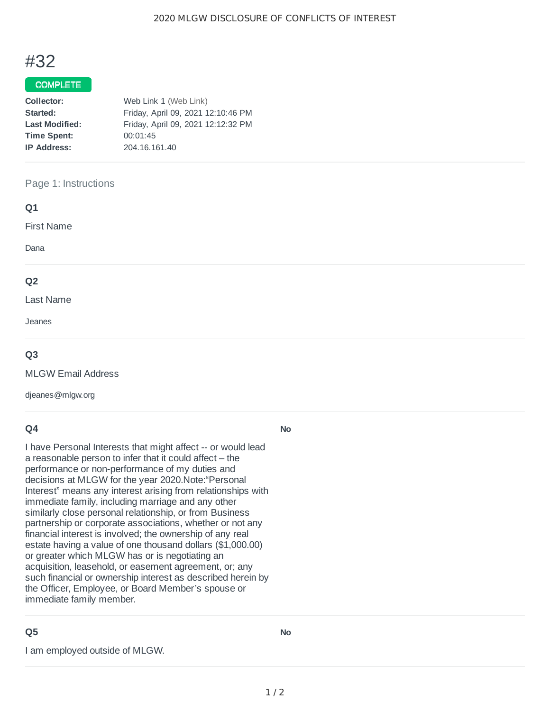# #32

### COMPLETE

| Collector:            | Web Link 1 (Web Link)              |  |
|-----------------------|------------------------------------|--|
| Started:              | Friday, April 09, 2021 12:10:46 PM |  |
| <b>Last Modified:</b> | Friday, April 09, 2021 12:12:32 PM |  |
| <b>Time Spent:</b>    | 00:01:45                           |  |
| <b>IP Address:</b>    | 204.16.161.40                      |  |
|                       |                                    |  |

#### Page 1: Instructions

| Q1                |  |  |  |
|-------------------|--|--|--|
| <b>First Name</b> |  |  |  |
| Dana              |  |  |  |
| Q <sub>2</sub>    |  |  |  |
| Last Name         |  |  |  |
| Jeanes            |  |  |  |

#### **Q3**

MLGW Email Address

djeanes@mlgw.org

#### **Q4**

I have Personal Interests that might affect -- or would lead a reasonable person to infer that it could affect – the performance or non-performance of my duties and decisions at MLGW for the year 2020.Note:"Personal Interest" means any interest arising from relationships with immediate family, including marriage and any other similarly close personal relationship, or from Business partnership or corporate associations, whether or not any financial interest is involved; the ownership of any real estate having a value of one thousand dollars (\$1,000.00) or greater which MLGW has or is negotiating an acquisition, leasehold, or easement agreement, or; any such financial or ownership interest as described herein by the Officer, Employee, or Board Member's spouse or immediate family member.

## **Q5**

I am employed outside of MLGW.

**No**

**No**